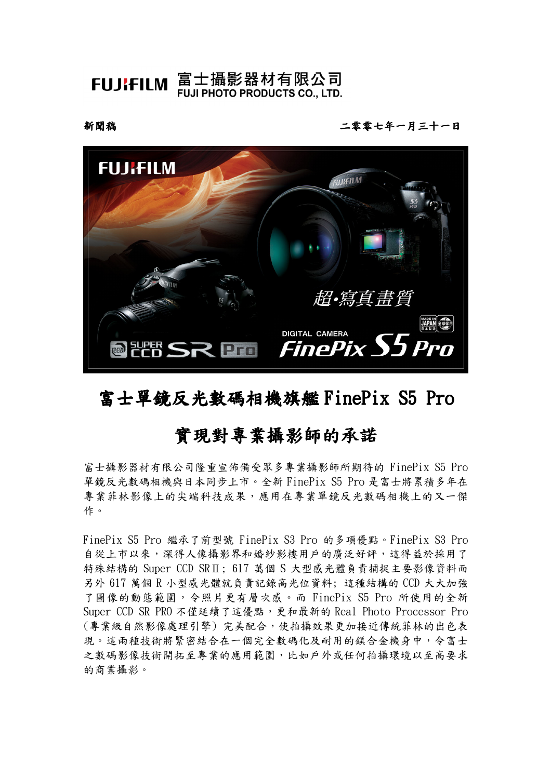FUJIFILM 富士攝影器材有限公司 **FUJI PHOTO PRODUCTS CO., LTD.** 

新聞稿

二零零七年一月三十一日



# 富士單鏡反光數碼相機旗艦 FinePix S5 Pro

# 實現對專業攝影師的承諾

富士攝影器材有限公司隆重宣佈備受眾多專業攝影師所期待的FinePix S5 Pro 單鏡反光數碼相機與日本同步上市。全新 FinePix S5 Pro 是富士將累積多年在 專業菲林影像上的尖端科技成果,應用在專業單鏡反光數碼相機上的又一傑 作。

FinePix S5 Pro 繼承了前型號 FinePix S3 Pro 的多項優點。FinePix S3 Pro 自從上市以來,深得人像攝影界和婚紗影樓用戶的廣泛好評,這得益於採用了 特殊結構的 Super CCD SRII; 617 萬個 S 大型感光體負責捕捉主要影像資料而 另外 617 萬個 R 小型感光體就負責記錄高光位資料;這種結構的 CCD 大大加強 了圖像的動態範圍, 令照片更有層次感。而 FinePix S5 Pro 所使用的全新 Super CCD SR PRO 不僅延續了這優點,更和最新的 Real Photo Processor Pro (專業級自然影像處理引擎)完美配合,使拍攝效果更加接近傳統菲林的出色表 現。這兩種技術將緊密結合在一個完全數碼化及耐用的鎂合金機身中,今富士 之數碼影像技術開拓至專業的應用範圍,比如戶外或任何拍攝環境以至高要求 的商業攝影。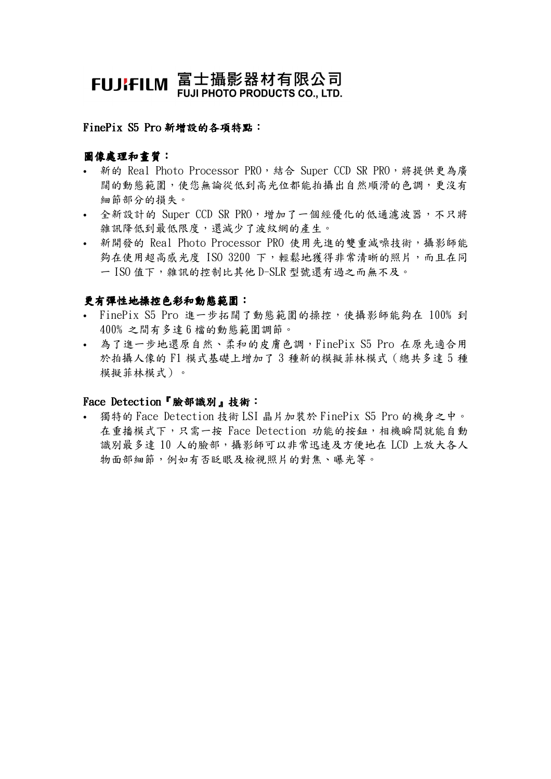# FUJIFILM 富士攝影器材有限公司 **FUJI PHOTO PRODUCTS CO., LTD.**

#### FinePix S5 Pro 新增設的各項特點:

## 圖像處理和書質:

- 新的 Real Photo Processor PRO, 結合 Super CCD SR PRO, 將提供更為廣 闊的動態範圍,使您無論從低到高光位都能拍攝出自然順滑的色調,更沒有 細節部分的損失。
- 全新設計的 Super CCD SR PRO,增加了一個經優化的低通濾波器,不只將 雜訊降低到最低限度,還減少了波紋網的產生。
- 新開發的 Real Photo Processor PRO 使用先進的雙重減噪技術,攝影師能 夠在使用超高感光度 ISO 3200 下,輕鬆地獲得非常清晰的照片,而且在同 一 ISO 值下,雜訊的控制比其他 D-SLR 型號還有過之而無不及。

## 更有彈性地操控色彩和動態範圍:

- · FinePix S5 Pro 進一步拓闊了動態範圍的操控,使攝影師能夠在 100% 到 400% 之間有多達6檔的動態範圍調節。
- 為了進一步地還原自然、柔和的皮膚色調,FinePix S5 Pro 在原先適合用 於拍攝人像的 F1 模式基礎上增加了3種新的模擬菲林模式 (總共多達 5 種 模擬菲林模式)。

#### Face Detection 『臉部識別』技術:

• 獨特的 Face Detection 技術 LSI 晶片加裝於 FinePix S5 Pro 的機身之中。 在重播模式下,只需一按 Face Detection 功能的按鈕,相機瞬間就能自動 識別最多達 10 人的臉部,攝影師可以非常迅速及方便地在 LCD 上放大各人 物面部細節,例如有否眨眼及檢視照片的對焦、曝光等。